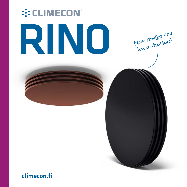

#### climecon.fi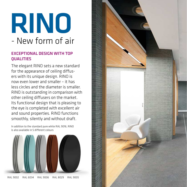# - New form of air RINO

#### EXCEPTIONAL DESIGN WITH TOP **QUALITIES**

The elegant RINO sets a new standard for the appearance of ceiling diffusers with its unique design. RINO is now even lower and smaller – it has less circles and the diameter is smaller. RINO is outstanding in comparison with other ceiling diffusers on the market. Its functional design that is pleasing to the eye is completed with excellent air and sound properties. RINO functions smoothly, silently and without draft.

In addition to the standard pure white RAL 9016, RINO is also available in 5 different colours



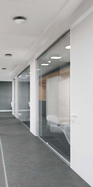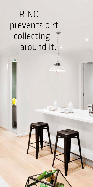# RINO prevents dirt collecting around it.

1551

 $+1/7$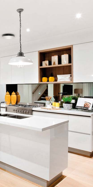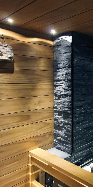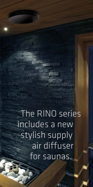The RINO series includes a new stylish supply air diffuser for saunas.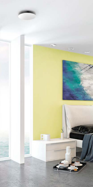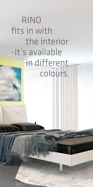# RINO fits in with the interior -It's available in different colours.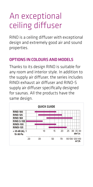# An exceptional ceiling diffuser

RINO is a ceiling diffuser with exceptional design and extremely good air and sound properties.

#### OPTIONS IN COLOURS AND MODELS

Thanks to its design RINO is suitable for any room and interior style. In addition to the supply air diffuser, the series includes RINOi exhaust air diffuser and RINO-S supply air diffuser specifically designed for saunas. All the products have the same design.

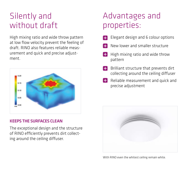# Silently and without draft

High mixing ratio and wide throw pattern at low flow velocity prevent the feeling of draft. RINO also features reliable measurement and quick and precise adjustment.



#### **KEEPS THE SURFACES CLEAN**

The exceptional design and the structure of RINO efficiently prevents dirt collecting around the ceiling diffuser.

# Advantages and properties:

- Elegant design and 6 colour options
- New lower and smaller structure
- High mixing ratio and wide throw pattern
- Brilliant structure that prevents dirt collecting around the ceiling diffuser
- **H** Reliable measurement and quick and precise adjustment



With RINO even the whitest ceiling remain white.